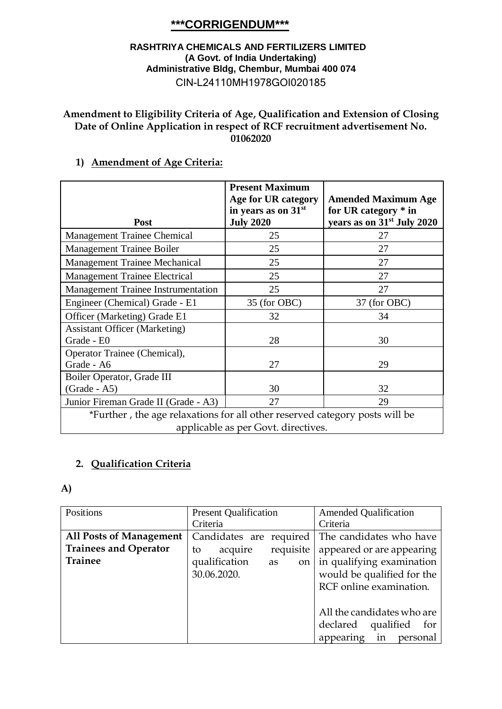# **\*\*\*CORRIGENDUM\*\*\***

#### **RASHTRIYA CHEMICALS AND FERTILIZERS LIMITED (A Govt. of India Undertaking) Administrative Bldg, Chembur, Mumbai 400 074** CIN-L24110MH1978GOI020185

### **Amendment to Eligibility Criteria of Age, Qualification and Extension of Closing Date of Online Application in respect of RCF recruitment advertisement No. 01062020**

## **1) Amendment of Age Criteria:**

| Post                                                                                                               | <b>Present Maximum</b><br>Age for UR category<br>in years as on 31st<br><b>July 2020</b> | <b>Amended Maximum Age</b><br>for UR category $*$ in<br>years as on 31 <sup>st</sup> July 2020 |
|--------------------------------------------------------------------------------------------------------------------|------------------------------------------------------------------------------------------|------------------------------------------------------------------------------------------------|
| <b>Management Trainee Chemical</b>                                                                                 | 25                                                                                       | 27                                                                                             |
| Management Trainee Boiler                                                                                          | 25                                                                                       | 27                                                                                             |
| Management Trainee Mechanical                                                                                      | 25                                                                                       | 27                                                                                             |
| <b>Management Trainee Electrical</b>                                                                               | 25                                                                                       | 27                                                                                             |
| <b>Management Trainee Instrumentation</b>                                                                          | 25                                                                                       | 27                                                                                             |
| Engineer (Chemical) Grade - E1                                                                                     | 35 (for OBC)                                                                             | 37 (for OBC)                                                                                   |
| Officer (Marketing) Grade E1                                                                                       | 32                                                                                       | 34                                                                                             |
| <b>Assistant Officer (Marketing)</b><br>Grade - E0                                                                 | 28                                                                                       | 30                                                                                             |
| Operator Trainee (Chemical),<br>Grade - A6                                                                         | 27                                                                                       | 29                                                                                             |
| Boiler Operator, Grade III                                                                                         |                                                                                          |                                                                                                |
| $(Grade - A5)$                                                                                                     | 30                                                                                       | 32                                                                                             |
| Junior Fireman Grade II (Grade - A3)                                                                               | 27                                                                                       | 29                                                                                             |
| *Further, the age relaxations for all other reserved category posts will be<br>applicable as per Govt. directives. |                                                                                          |                                                                                                |

## **2. Qualification Criteria**

#### **A)**

| Positions                      | <b>Present Qualification</b> | <b>Amended Qualification</b> |
|--------------------------------|------------------------------|------------------------------|
|                                | Criteria                     | Criteria                     |
| <b>All Posts of Management</b> | Candidates are required      | The candidates who have      |
| <b>Trainees and Operator</b>   | requisite<br>acquire<br>to   | appeared or are appearing    |
| <b>Trainee</b>                 | qualification<br>on<br>as    | in qualifying examination    |
|                                | 30.06.2020.                  | would be qualified for the   |
|                                |                              | RCF online examination.      |
|                                |                              |                              |
|                                |                              | All the candidates who are   |
|                                |                              | qualified<br>declared<br>for |
|                                |                              | appearing<br>in<br>personal  |